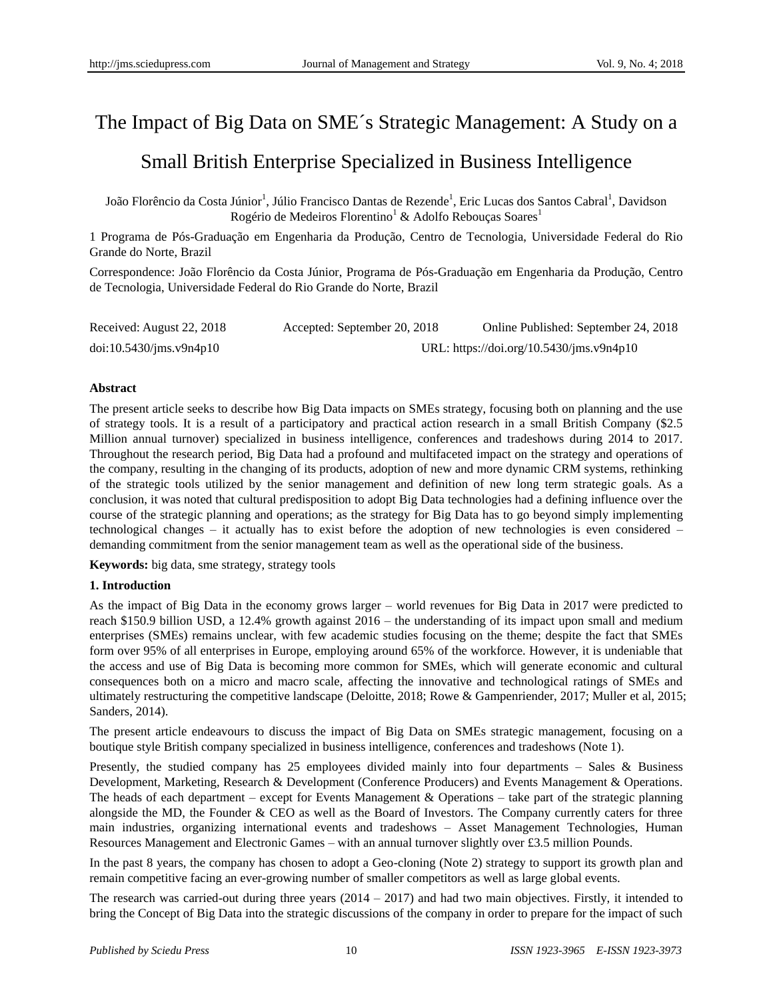# The Impact of Big Data on SME  $\acute{\text{s}}$  Strategic Management: A Study on a

# Small British Enterprise Specialized in Business Intelligence

João Florêncio da Costa Júnior<sup>1</sup>, Júlio Francisco Dantas de Rezende<sup>1</sup>, Eric Lucas dos Santos Cabral<sup>1</sup>, Davidson Rogério de Medeiros Florentino<sup>1</sup> & Adolfo Rebouças Soares<sup>1</sup>

1 Programa de Pós-Graduação em Engenharia da Produção, Centro de Tecnologia, Universidade Federal do Rio Grande do Norte, Brazil

Correspondence: João Florêncio da Costa Júnior, Programa de Pós-Graduação em Engenharia da Produção, Centro de Tecnologia, Universidade Federal do Rio Grande do Norte, Brazil

| Received: August 22, 2018 | Accepted: September 20, 2018 | Online Published: September 24, 2018     |
|---------------------------|------------------------------|------------------------------------------|
| doi:10.5430/ims.v9n4p10   |                              | URL: https://doi.org/10.5430/jms.v9n4p10 |

## **Abstract**

The present article seeks to describe how Big Data impacts on SMEs strategy, focusing both on planning and the use of strategy tools. It is a result of a participatory and practical action research in a small British Company (\$2.5 Million annual turnover) specialized in business intelligence, conferences and tradeshows during 2014 to 2017. Throughout the research period, Big Data had a profound and multifaceted impact on the strategy and operations of the company, resulting in the changing of its products, adoption of new and more dynamic CRM systems, rethinking of the strategic tools utilized by the senior management and definition of new long term strategic goals. As a conclusion, it was noted that cultural predisposition to adopt Big Data technologies had a defining influence over the course of the strategic planning and operations; as the strategy for Big Data has to go beyond simply implementing technological changes – it actually has to exist before the adoption of new technologies is even considered – demanding commitment from the senior management team as well as the operational side of the business.

**Keywords:** big data, sme strategy, strategy tools

## **1. Introduction**

As the impact of Big Data in the economy grows larger – world revenues for Big Data in 2017 were predicted to reach \$150.9 billion USD, a 12.4% growth against 2016 – the understanding of its impact upon small and medium enterprises (SMEs) remains unclear, with few academic studies focusing on the theme; despite the fact that SMEs form over 95% of all enterprises in Europe, employing around 65% of the workforce. However, it is undeniable that the access and use of Big Data is becoming more common for SMEs, which will generate economic and cultural consequences both on a micro and macro scale, affecting the innovative and technological ratings of SMEs and ultimately restructuring the competitive landscape (Deloitte, 2018; Rowe & Gampenriender, 2017; Muller et al, 2015; Sanders, 2014).

The present article endeavours to discuss the impact of Big Data on SMEs strategic management, focusing on a boutique style British company specialized in business intelligence, conferences and tradeshows (Note 1).

Presently, the studied company has 25 employees divided mainly into four departments – Sales & Business Development, Marketing, Research & Development (Conference Producers) and Events Management & Operations. The heads of each department – except for Events Management & Operations – take part of the strategic planning alongside the MD, the Founder & CEO as well as the Board of Investors. The Company currently caters for three main industries, organizing international events and tradeshows – Asset Management Technologies, Human Resources Management and Electronic Games – with an annual turnover slightly over £3.5 million Pounds.

In the past 8 years, the company has chosen to adopt a Geo-cloning (Note 2) strategy to support its growth plan and remain competitive facing an ever-growing number of smaller competitors as well as large global events.

The research was carried-out during three years  $(2014 - 2017)$  and had two main objectives. Firstly, it intended to bring the Concept of Big Data into the strategic discussions of the company in order to prepare for the impact of such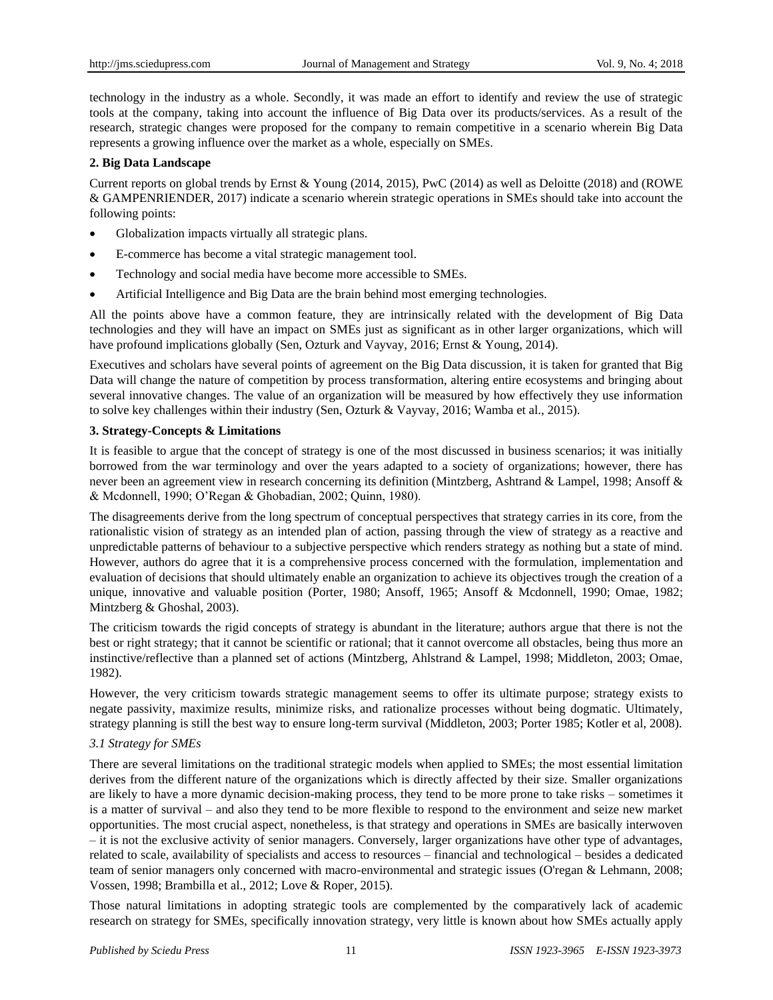technology in the industry as a whole. Secondly, it was made an effort to identify and review the use of strategic tools at the company, taking into account the influence of Big Data over its products/services. As a result of the research, strategic changes were proposed for the company to remain competitive in a scenario wherein Big Data represents a growing influence over the market as a whole, especially on SMEs.

## **2. Big Data Landscape**

Current reports on global trends by Ernst & Young (2014, 2015), PwC (2014) as well as Deloitte (2018) and (ROWE & GAMPENRIENDER, 2017) indicate a scenario wherein strategic operations in SMEs should take into account the following points:

- Globalization impacts virtually all strategic plans.
- E-commerce has become a vital strategic management tool.
- Technology and social media have become more accessible to SMEs.
- Artificial Intelligence and Big Data are the brain behind most emerging technologies.

All the points above have a common feature, they are intrinsically related with the development of Big Data technologies and they will have an impact on SMEs just as significant as in other larger organizations, which will have profound implications globally (Sen, Ozturk and Vayvay, 2016; Ernst & Young, 2014).

Executives and scholars have several points of agreement on the Big Data discussion, it is taken for granted that Big Data will change the nature of competition by process transformation, altering entire ecosystems and bringing about several innovative changes. The value of an organization will be measured by how effectively they use information to solve key challenges within their industry (Sen, Ozturk & Vayvay, 2016; Wamba et al., 2015).

# **3. Strategy-Concepts & Limitations**

It is feasible to argue that the concept of strategy is one of the most discussed in business scenarios; it was initially borrowed from the war terminology and over the years adapted to a society of organizations; however, there has never been an agreement view in research concerning its definition (Mintzberg, Ashtrand & Lampel, 1998; Ansoff & & Mcdonnell, 1990; O"Regan & Ghobadian, 2002; Quinn, 1980).

The disagreements derive from the long spectrum of conceptual perspectives that strategy carries in its core, from the rationalistic vision of strategy as an intended plan of action, passing through the view of strategy as a reactive and unpredictable patterns of behaviour to a subjective perspective which renders strategy as nothing but a state of mind. However, authors do agree that it is a comprehensive process concerned with the formulation, implementation and evaluation of decisions that should ultimately enable an organization to achieve its objectives trough the creation of a unique, innovative and valuable position (Porter, 1980; Ansoff, 1965; Ansoff & Mcdonnell, 1990; Omae, 1982; Mintzberg & Ghoshal, 2003).

The criticism towards the rigid concepts of strategy is abundant in the literature; authors argue that there is not the best or right strategy; that it cannot be scientific or rational; that it cannot overcome all obstacles, being thus more an instinctive/reflective than a planned set of actions (Mintzberg, Ahlstrand & Lampel, 1998; Middleton, 2003; Omae, 1982).

However, the very criticism towards strategic management seems to offer its ultimate purpose; strategy exists to negate passivity, maximize results, minimize risks, and rationalize processes without being dogmatic. Ultimately, strategy planning is still the best way to ensure long-term survival (Middleton, 2003; Porter 1985; Kotler et al, 2008).

# *3.1 Strategy for SMEs*

There are several limitations on the traditional strategic models when applied to SMEs; the most essential limitation derives from the different nature of the organizations which is directly affected by their size. Smaller organizations are likely to have a more dynamic decision-making process, they tend to be more prone to take risks – sometimes it is a matter of survival – and also they tend to be more flexible to respond to the environment and seize new market opportunities. The most crucial aspect, nonetheless, is that strategy and operations in SMEs are basically interwoven – it is not the exclusive activity of senior managers. Conversely, larger organizations have other type of advantages, related to scale, availability of specialists and access to resources – financial and technological – besides a dedicated team of senior managers only concerned with macro-environmental and strategic issues (O'regan & Lehmann, 2008; Vossen, 1998; Brambilla et al., 2012; Love & Roper, 2015).

Those natural limitations in adopting strategic tools are complemented by the comparatively lack of academic research on strategy for SMEs, specifically innovation strategy, very little is known about how SMEs actually apply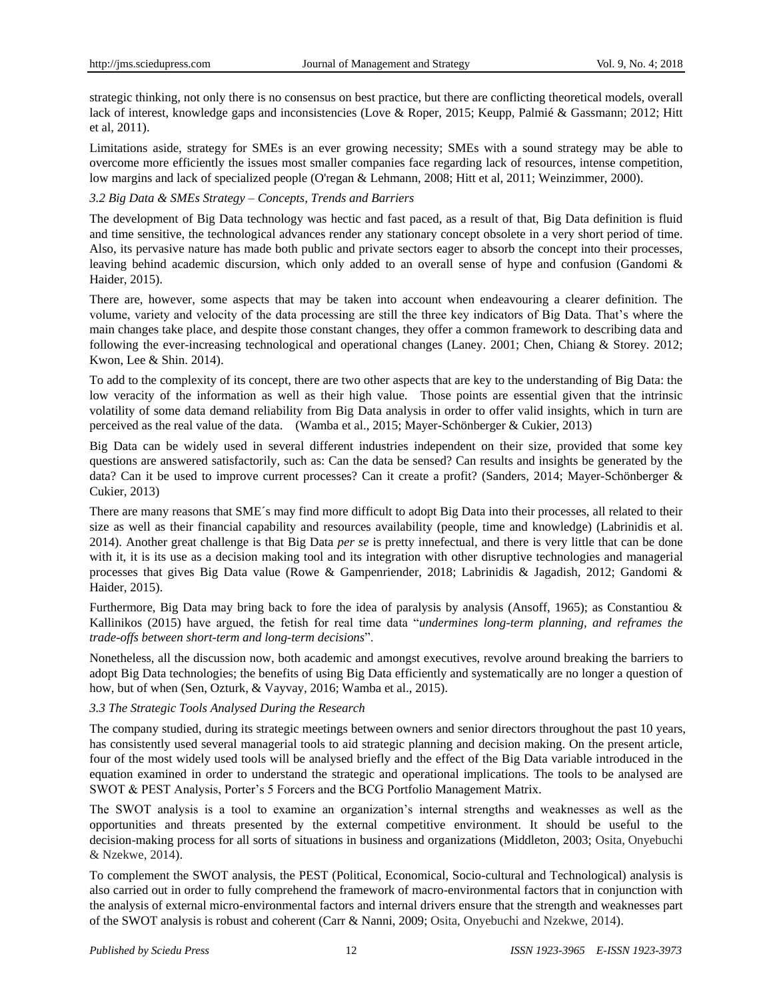strategic thinking, not only there is no consensus on best practice, but there are conflicting theoretical models, overall lack of interest, knowledge gaps and inconsistencies (Love & Roper, 2015; Keupp, Palmié & Gassmann; 2012; Hitt et al, 2011).

Limitations aside, strategy for SMEs is an ever growing necessity; SMEs with a sound strategy may be able to overcome more efficiently the issues most smaller companies face regarding lack of resources, intense competition, low margins and lack of specialized people (O'regan & Lehmann, 2008; Hitt et al, 2011; Weinzimmer, 2000).

# *3.2 Big Data & SMEs Strategy – Concepts, Trends and Barriers*

The development of Big Data technology was hectic and fast paced, as a result of that, Big Data definition is fluid and time sensitive, the technological advances render any stationary concept obsolete in a very short period of time. Also, its pervasive nature has made both public and private sectors eager to absorb the concept into their processes, leaving behind academic discursion, which only added to an overall sense of hype and confusion (Gandomi & Haider, 2015).

There are, however, some aspects that may be taken into account when endeavouring a clearer definition. The volume, variety and velocity of the data processing are still the three key indicators of Big Data. That"s where the main changes take place, and despite those constant changes, they offer a common framework to describing data and following the ever-increasing technological and operational changes (Laney. 2001; Chen, Chiang & Storey. 2012; Kwon, Lee & Shin. 2014).

To add to the complexity of its concept, there are two other aspects that are key to the understanding of Big Data: the low veracity of the information as well as their high value. Those points are essential given that the intrinsic volatility of some data demand reliability from Big Data analysis in order to offer valid insights, which in turn are perceived as the real value of the data. (Wamba et al., 2015; Mayer-Schönberger & Cukier, 2013)

Big Data can be widely used in several different industries independent on their size, provided that some key questions are answered satisfactorily, such as: Can the data be sensed? Can results and insights be generated by the data? Can it be used to improve current processes? Can it create a profit? (Sanders, 2014; Mayer-Schönberger & Cukier, 2013)

There are many reasons that SME  $\acute{\text{s}}$  may find more difficult to adopt Big Data into their processes, all related to their size as well as their financial capability and resources availability (people, time and knowledge) (Labrinidis et al. 2014). Another great challenge is that Big Data *per se* is pretty innefectual, and there is very little that can be done with it, it is its use as a decision making tool and its integration with other disruptive technologies and managerial processes that gives Big Data value (Rowe & Gampenriender, 2018; Labrinidis & Jagadish, 2012; Gandomi & Haider, 2015).

Furthermore, Big Data may bring back to fore the idea of paralysis by analysis (Ansoff, 1965); as Constantiou & Kallinikos (2015) have argued, the fetish for real time data "*undermines long-term planning, and reframes the trade-offs between short-term and long-term decisions*".

Nonetheless, all the discussion now, both academic and amongst executives, revolve around breaking the barriers to adopt Big Data technologies; the benefits of using Big Data efficiently and systematically are no longer a question of how, but of when (Sen, Ozturk, & Vayvay, 2016; Wamba et al., 2015).

# *3.3 The Strategic Tools Analysed During the Research*

The company studied, during its strategic meetings between owners and senior directors throughout the past 10 years, has consistently used several managerial tools to aid strategic planning and decision making. On the present article, four of the most widely used tools will be analysed briefly and the effect of the Big Data variable introduced in the equation examined in order to understand the strategic and operational implications. The tools to be analysed are SWOT & PEST Analysis, Porter's 5 Forcers and the BCG Portfolio Management Matrix.

The SWOT analysis is a tool to examine an organization"s internal strengths and weaknesses as well as the opportunities and threats presented by the external competitive environment. It should be useful to the decision-making process for all sorts of situations in business and organizations (Middleton, 2003; Osita, Onyebuchi & Nzekwe, 2014).

To complement the SWOT analysis, the PEST (Political, Economical, Socio-cultural and Technological) analysis is also carried out in order to fully comprehend the framework of macro-environmental factors that in conjunction with the analysis of external micro-environmental factors and internal drivers ensure that the strength and weaknesses part of the SWOT analysis is robust and coherent (Carr & Nanni, 2009; Osita, Onyebuchi and Nzekwe, 2014).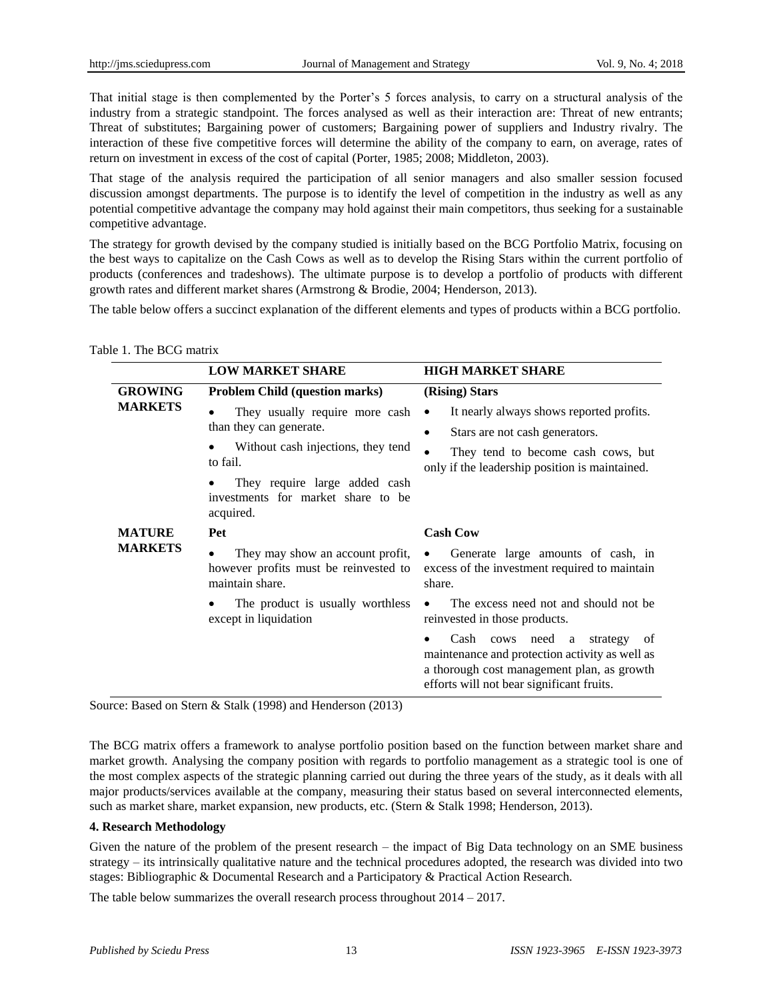That initial stage is then complemented by the Porter"s 5 forces analysis, to carry on a structural analysis of the industry from a strategic standpoint. The forces analysed as well as their interaction are: Threat of new entrants; Threat of substitutes; Bargaining power of customers; Bargaining power of suppliers and Industry rivalry. The interaction of these five competitive forces will determine the ability of the company to earn, on average, rates of return on investment in excess of the cost of capital (Porter, 1985; 2008; Middleton, 2003).

That stage of the analysis required the participation of all senior managers and also smaller session focused discussion amongst departments. The purpose is to identify the level of competition in the industry as well as any potential competitive advantage the company may hold against their main competitors, thus seeking for a sustainable competitive advantage.

The strategy for growth devised by the company studied is initially based on the BCG Portfolio Matrix, focusing on the best ways to capitalize on the Cash Cows as well as to develop the Rising Stars within the current portfolio of products (conferences and tradeshows). The ultimate purpose is to develop a portfolio of products with different growth rates and different market shares (Armstrong & Brodie, 2004; Henderson, 2013).

The table below offers a succinct explanation of the different elements and types of products within a BCG portfolio.

| Table 1. The BCG matrix |  |  |  |
|-------------------------|--|--|--|
|-------------------------|--|--|--|

|                                  | <b>LOW MARKET SHARE</b>                                                                      | <b>HIGH MARKET SHARE</b>                                                                                                                                                  |  |
|----------------------------------|----------------------------------------------------------------------------------------------|---------------------------------------------------------------------------------------------------------------------------------------------------------------------------|--|
| <b>GROWING</b><br><b>MARKETS</b> | <b>Problem Child (question marks)</b>                                                        | (Rising) Stars                                                                                                                                                            |  |
|                                  | They usually require more cash<br>than they can generate.                                    | It nearly always shows reported profits.<br>Stars are not cash generators.                                                                                                |  |
|                                  | Without cash injections, they tend<br>to fail.                                               | They tend to become cash cows, but<br>only if the leadership position is maintained.                                                                                      |  |
|                                  | They require large added cash<br>investments for market share to be<br>acquired.             |                                                                                                                                                                           |  |
| <b>MATURE</b><br><b>MARKETS</b>  | Pet                                                                                          | <b>Cash Cow</b>                                                                                                                                                           |  |
|                                  | They may show an account profit,<br>however profits must be reinvested to<br>maintain share. | Generate large amounts of cash, in<br>excess of the investment required to maintain<br>share.                                                                             |  |
|                                  | The product is usually worthless<br>except in liquidation                                    | The excess need not and should not be<br>reinvested in those products.                                                                                                    |  |
|                                  |                                                                                              | Cash cows need a strategy of<br>maintenance and protection activity as well as<br>a thorough cost management plan, as growth<br>efforts will not bear significant fruits. |  |

Source: Based on Stern & Stalk (1998) and Henderson (2013)

The BCG matrix offers a framework to analyse portfolio position based on the function between market share and market growth. Analysing the company position with regards to portfolio management as a strategic tool is one of the most complex aspects of the strategic planning carried out during the three years of the study, as it deals with all major products/services available at the company, measuring their status based on several interconnected elements, such as market share, market expansion, new products, etc. (Stern & Stalk 1998; Henderson, 2013).

# **4. Research Methodology**

Given the nature of the problem of the present research – the impact of Big Data technology on an SME business strategy – its intrinsically qualitative nature and the technical procedures adopted, the research was divided into two stages: Bibliographic & Documental Research and a Participatory & Practical Action Research.

The table below summarizes the overall research process throughout 2014 – 2017.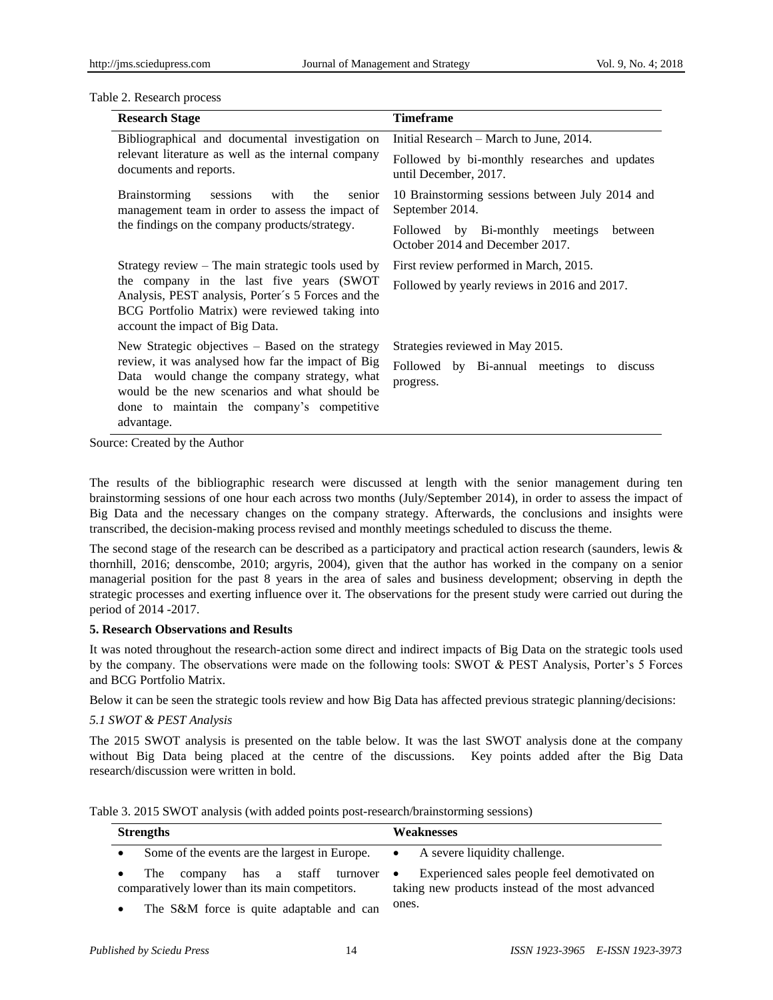#### Table 2. Research process

| <b>Research Stage</b>                                                                                                                                                                                          | <b>Timeframe</b>                                                              |  |
|----------------------------------------------------------------------------------------------------------------------------------------------------------------------------------------------------------------|-------------------------------------------------------------------------------|--|
| Bibliographical and documental investigation on                                                                                                                                                                | Initial Research – March to June, 2014.                                       |  |
| relevant literature as well as the internal company<br>documents and reports.                                                                                                                                  | Followed by bi-monthly researches and updates<br>until December, 2017.        |  |
| <b>Brainstorming</b><br>sessions<br>with<br>the<br>senior<br>management team in order to assess the impact of                                                                                                  | 10 Brainstorming sessions between July 2014 and<br>September 2014.            |  |
| the findings on the company products/strategy.                                                                                                                                                                 | Followed by Bi-monthly meetings<br>between<br>October 2014 and December 2017. |  |
| Strategy review – The main strategic tools used by                                                                                                                                                             | First review performed in March, 2015.                                        |  |
| the company in the last five years (SWOT<br>Analysis, PEST analysis, Porter $\frac{2}{5}$ Forces and the<br>BCG Portfolio Matrix) were reviewed taking into<br>account the impact of Big Data.                 | Followed by yearly reviews in 2016 and 2017.                                  |  |
| New Strategic objectives – Based on the strategy                                                                                                                                                               | Strategies reviewed in May 2015.                                              |  |
| review, it was analysed how far the impact of Big<br>Data would change the company strategy, what<br>would be the new scenarios and what should be<br>done to maintain the company's competitive<br>advantage. | Followed by Bi-annual meetings to<br>discuss<br>progress.                     |  |

Source: Created by the Author

The results of the bibliographic research were discussed at length with the senior management during ten brainstorming sessions of one hour each across two months (July/September 2014), in order to assess the impact of Big Data and the necessary changes on the company strategy. Afterwards, the conclusions and insights were transcribed, the decision-making process revised and monthly meetings scheduled to discuss the theme.

The second stage of the research can be described as a participatory and practical action research (saunders, lewis & thornhill, 2016; denscombe, 2010; argyris, 2004), given that the author has worked in the company on a senior managerial position for the past 8 years in the area of sales and business development; observing in depth the strategic processes and exerting influence over it. The observations for the present study were carried out during the period of 2014 -2017.

## **5. Research Observations and Results**

It was noted throughout the research-action some direct and indirect impacts of Big Data on the strategic tools used by the company. The observations were made on the following tools: SWOT & PEST Analysis, Porter's 5 Forces and BCG Portfolio Matrix.

Below it can be seen the strategic tools review and how Big Data has affected previous strategic planning/decisions:

## *5.1 SWOT & PEST Analysis*

The 2015 SWOT analysis is presented on the table below. It was the last SWOT analysis done at the company without Big Data being placed at the centre of the discussions. Key points added after the Big Data research/discussion were written in bold.

| Table 3. 2015 SWOT analysis (with added points post-research/brainstorming sessions) |  |  |
|--------------------------------------------------------------------------------------|--|--|
|                                                                                      |  |  |

| <b>Strengths</b>                                                                               | Weaknesses                                                                                       |  |
|------------------------------------------------------------------------------------------------|--------------------------------------------------------------------------------------------------|--|
| Some of the events are the largest in Europe. $\bullet$                                        | A severe liquidity challenge.                                                                    |  |
| • The company has a staff turnover $\bullet$<br>comparatively lower than its main competitors. | Experienced sales people feel demotivated on<br>taking new products instead of the most advanced |  |
| The S&M force is quite adaptable and can                                                       | ones.                                                                                            |  |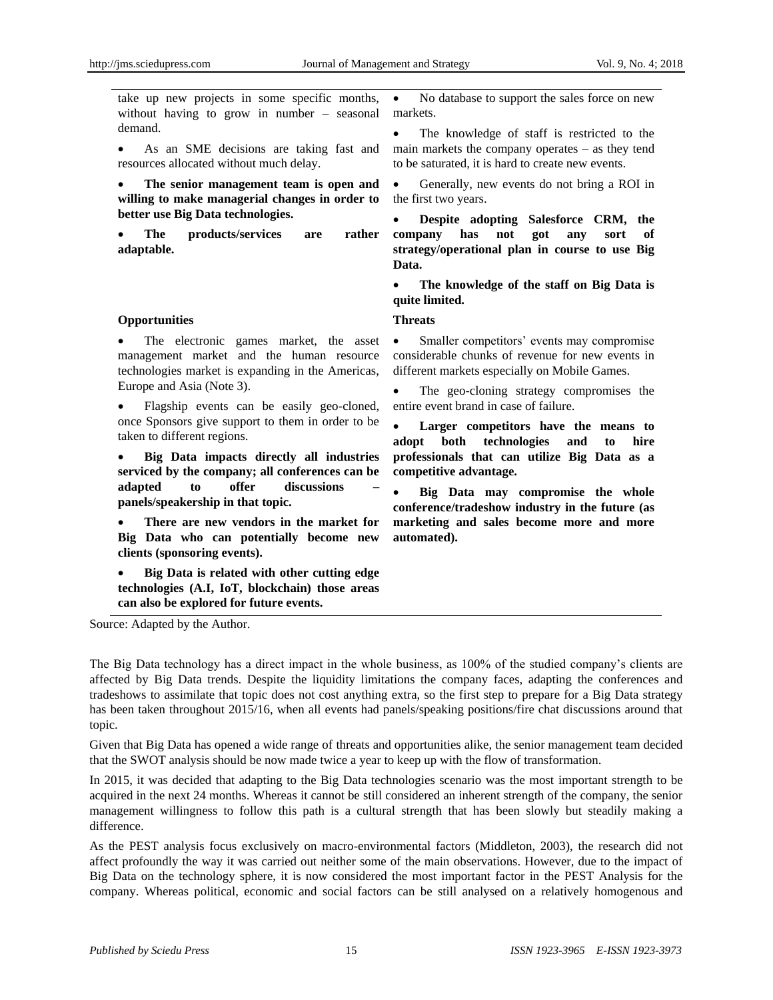take up new projects in some specific months, without having to grow in number – seasonal demand.

 As an SME decisions are taking fast and resources allocated without much delay.

 **The senior management team is open and willing to make managerial changes in order to better use Big Data technologies.** 

 **The products/services are rather adaptable.** 

## **Opportunities**

 The electronic games market, the asset management market and the human resource technologies market is expanding in the Americas, Europe and Asia (Note 3).

 Flagship events can be easily geo-cloned, once Sponsors give support to them in order to be taken to different regions.

 **Big Data impacts directly all industries serviced by the company; all conferences can be adapted to offer discussions – panels/speakership in that topic.**

 **There are new vendors in the market for Big Data who can potentially become new clients (sponsoring events).**

 **Big Data is related with other cutting edge technologies (A.I, IoT, blockchain) those areas can also be explored for future events.** 

• No database to support the sales force on new markets.

• The knowledge of staff is restricted to the main markets the company operates – as they tend to be saturated, it is hard to create new events.

 Generally, new events do not bring a ROI in the first two years.

 **Despite adopting Salesforce CRM, the company has not got any sort of strategy/operational plan in course to use Big Data.**

 **The knowledge of the staff on Big Data is quite limited.** 

## **Threats**

• Smaller competitors' events may compromise considerable chunks of revenue for new events in different markets especially on Mobile Games.

 The geo-cloning strategy compromises the entire event brand in case of failure.

 **Larger competitors have the means to adopt both technologies and to hire professionals that can utilize Big Data as a competitive advantage.**

 **Big Data may compromise the whole conference/tradeshow industry in the future (as marketing and sales become more and more automated).** 

Source: Adapted by the Author.

The Big Data technology has a direct impact in the whole business, as 100% of the studied company"s clients are affected by Big Data trends. Despite the liquidity limitations the company faces, adapting the conferences and tradeshows to assimilate that topic does not cost anything extra, so the first step to prepare for a Big Data strategy has been taken throughout 2015/16, when all events had panels/speaking positions/fire chat discussions around that topic.

Given that Big Data has opened a wide range of threats and opportunities alike, the senior management team decided that the SWOT analysis should be now made twice a year to keep up with the flow of transformation.

In 2015, it was decided that adapting to the Big Data technologies scenario was the most important strength to be acquired in the next 24 months. Whereas it cannot be still considered an inherent strength of the company, the senior management willingness to follow this path is a cultural strength that has been slowly but steadily making a difference.

As the PEST analysis focus exclusively on macro-environmental factors (Middleton, 2003), the research did not affect profoundly the way it was carried out neither some of the main observations. However, due to the impact of Big Data on the technology sphere, it is now considered the most important factor in the PEST Analysis for the company. Whereas political, economic and social factors can be still analysed on a relatively homogenous and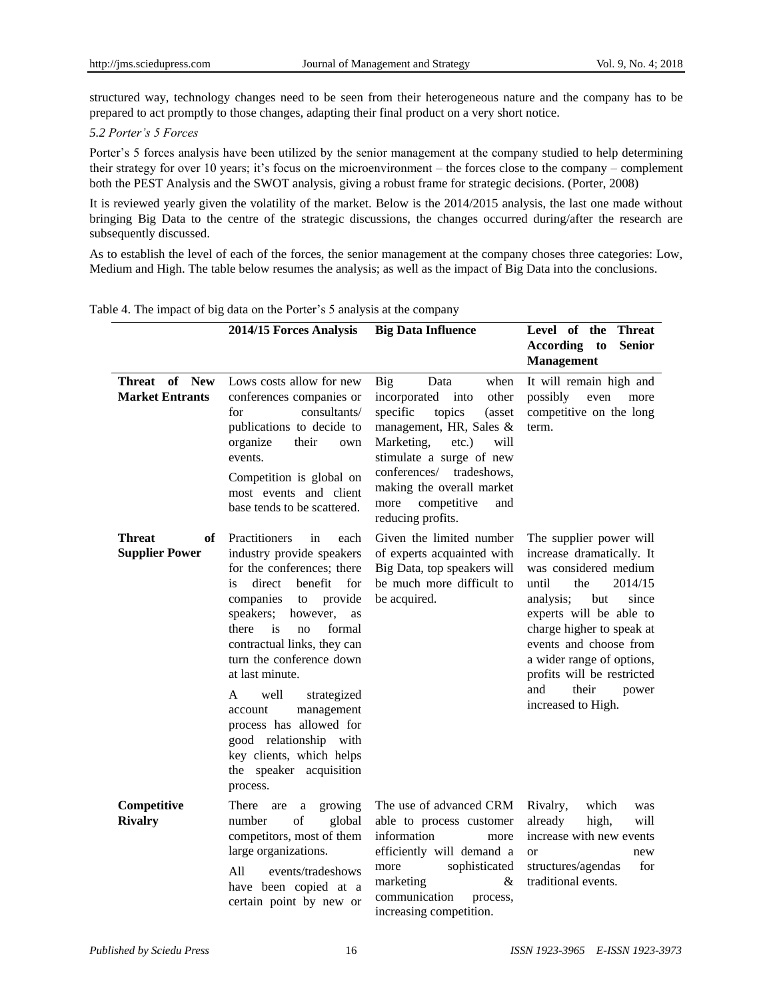structured way, technology changes need to be seen from their heterogeneous nature and the company has to be prepared to act promptly to those changes, adapting their final product on a very short notice.

### *5.2 Porter's 5 Forces*

Porter's 5 forces analysis have been utilized by the senior management at the company studied to help determining their strategy for over 10 years; it's focus on the microenvironment – the forces close to the company – complement both the PEST Analysis and the SWOT analysis, giving a robust frame for strategic decisions. (Porter, 2008)

It is reviewed yearly given the volatility of the market. Below is the 2014/2015 analysis, the last one made without bringing Big Data to the centre of the strategic discussions, the changes occurred during/after the research are subsequently discussed.

As to establish the level of each of the forces, the senior management at the company choses three categories: Low, Medium and High. The table below resumes the analysis; as well as the impact of Big Data into the conclusions.

|                                              | 2014/15 Forces Analysis                                                                                                                                                                                                                                                                                                                                                                                                                                                         | <b>Big Data Influence</b>                                                                                                                                                                                                                                                                 | Level of the<br><b>Threat</b><br><b>According</b><br><b>Senior</b><br>to<br><b>Management</b>                                                                                                                                                                                                                                     |
|----------------------------------------------|---------------------------------------------------------------------------------------------------------------------------------------------------------------------------------------------------------------------------------------------------------------------------------------------------------------------------------------------------------------------------------------------------------------------------------------------------------------------------------|-------------------------------------------------------------------------------------------------------------------------------------------------------------------------------------------------------------------------------------------------------------------------------------------|-----------------------------------------------------------------------------------------------------------------------------------------------------------------------------------------------------------------------------------------------------------------------------------------------------------------------------------|
| Threat of New<br><b>Market Entrants</b>      | Lows costs allow for new<br>conferences companies or<br>consultants/<br>for<br>publications to decide to<br>organize<br>their<br>own<br>events.<br>Competition is global on<br>most events and client<br>base tends to be scattered.                                                                                                                                                                                                                                            | Big<br>Data<br>when<br>incorporated into<br>other<br>specific<br>topics<br>(asset<br>management, HR, Sales &<br>Marketing,<br>$etc.$ )<br>will<br>stimulate a surge of new<br>conferences/<br>tradeshows,<br>making the overall market<br>competitive<br>more<br>and<br>reducing profits. | It will remain high and<br>possibly<br>even<br>more<br>competitive on the long<br>term.                                                                                                                                                                                                                                           |
| <b>Threat</b><br>of<br><b>Supplier Power</b> | Practitioners<br>in<br>each<br>industry provide speakers<br>for the conferences; there<br>direct<br>benefit<br>for<br>is<br>companies<br>provide<br>to<br>speakers;<br>however,<br>as<br>there<br>is<br>formal<br>no<br>contractual links, they can<br>turn the conference down<br>at last minute.<br>A<br>well<br>strategized<br>management<br>account<br>process has allowed for<br>good relationship with<br>key clients, which helps<br>the speaker acquisition<br>process. | Given the limited number<br>of experts acquainted with<br>Big Data, top speakers will<br>be much more difficult to<br>be acquired.                                                                                                                                                        | The supplier power will<br>increase dramatically. It<br>was considered medium<br>until<br>2014/15<br>the<br>analysis;<br>but<br>since<br>experts will be able to<br>charge higher to speak at<br>events and choose from<br>a wider range of options,<br>profits will be restricted<br>their<br>and<br>power<br>increased to High. |
| Competitive<br><b>Rivalry</b>                | growing<br>There<br>are<br>a<br>of<br>number<br>global<br>competitors, most of them<br>large organizations.<br>All<br>events/tradeshows<br>have been copied at a<br>certain point by new or                                                                                                                                                                                                                                                                                     | The use of advanced CRM<br>able to process customer<br>information<br>more<br>efficiently will demand a<br>sophisticated<br>more<br>$\&$<br>marketing<br>communication<br>process,<br>increasing competition.                                                                             | Rivalry,<br>which<br>was<br>already<br>will<br>high,<br>increase with new events<br><b>or</b><br>new<br>structures/agendas<br>for<br>traditional events.                                                                                                                                                                          |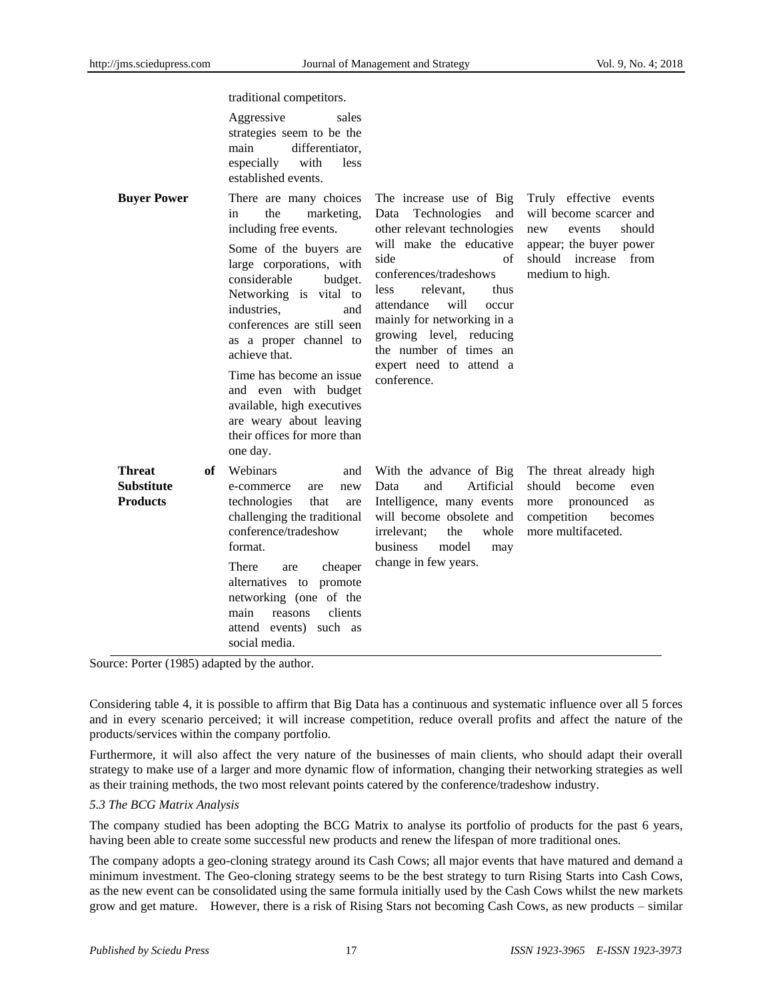traditional competitors.

| <b>Buyer Power</b>                                          | Aggressive<br>sales<br>strategies seem to be the<br>main<br>differentiator,<br>especially<br>with<br>less<br>established events.<br>There are many choices<br>the<br>marketing,<br>in<br>including free events.<br>Some of the buyers are<br>large corporations, with<br>considerable<br>budget.<br>Networking is vital to<br>industries,<br>and<br>conferences are still seen<br>as a proper channel to<br>achieve that.<br>Time has become an issue.<br>and even with budget<br>available, high executives<br>are weary about leaving<br>their offices for more than<br>one day. | The increase use of Big<br>Technologies<br>Data<br>and<br>other relevant technologies<br>will make the educative<br>side<br>of<br>conferences/tradeshows<br>relevant.<br>less.<br>thus<br>will<br>attendance<br>occur<br>mainly for networking in a<br>growing level, reducing<br>the number of times an<br>expert need to attend a<br>conference. | Truly effective events<br>will become scarcer and<br>should<br>events<br>new<br>appear; the buyer power<br>should increase<br>from<br>medium to high. |
|-------------------------------------------------------------|------------------------------------------------------------------------------------------------------------------------------------------------------------------------------------------------------------------------------------------------------------------------------------------------------------------------------------------------------------------------------------------------------------------------------------------------------------------------------------------------------------------------------------------------------------------------------------|----------------------------------------------------------------------------------------------------------------------------------------------------------------------------------------------------------------------------------------------------------------------------------------------------------------------------------------------------|-------------------------------------------------------------------------------------------------------------------------------------------------------|
| <b>Threat</b><br>оf<br><b>Substitute</b><br><b>Products</b> | Webinars<br>and<br>e-commerce<br>new<br>are<br>technologies<br>that<br>are<br>challenging the traditional<br>conference/tradeshow<br>format.<br>cheaper<br>There<br>are<br>alternatives to promote<br>networking (one of the<br>clients<br>main<br>reasons<br>attend events)<br>such as<br>social media.                                                                                                                                                                                                                                                                           | With the advance of Big<br>Artificial<br>and<br>Data<br>Intelligence, many events<br>will become obsolete and<br>irrelevant;<br>the<br>whole<br>business<br>model<br>may<br>change in few years.                                                                                                                                                   | The threat already high<br>should<br>become<br>even<br>pronounced<br>more<br>as<br>competition<br>becomes<br>more multifaceted.                       |

Source: Porter (1985) adapted by the author.

Considering table 4, it is possible to affirm that Big Data has a continuous and systematic influence over all 5 forces and in every scenario perceived; it will increase competition, reduce overall profits and affect the nature of the products/services within the company portfolio.

Furthermore, it will also affect the very nature of the businesses of main clients, who should adapt their overall strategy to make use of a larger and more dynamic flow of information, changing their networking strategies as well as their training methods, the two most relevant points catered by the conference/tradeshow industry.

#### *5.3 The BCG Matrix Analysis*

The company studied has been adopting the BCG Matrix to analyse its portfolio of products for the past 6 years, having been able to create some successful new products and renew the lifespan of more traditional ones.

The company adopts a geo-cloning strategy around its Cash Cows; all major events that have matured and demand a minimum investment. The Geo-cloning strategy seems to be the best strategy to turn Rising Starts into Cash Cows, as the new event can be consolidated using the same formula initially used by the Cash Cows whilst the new markets grow and get mature. However, there is a risk of Rising Stars not becoming Cash Cows, as new products – similar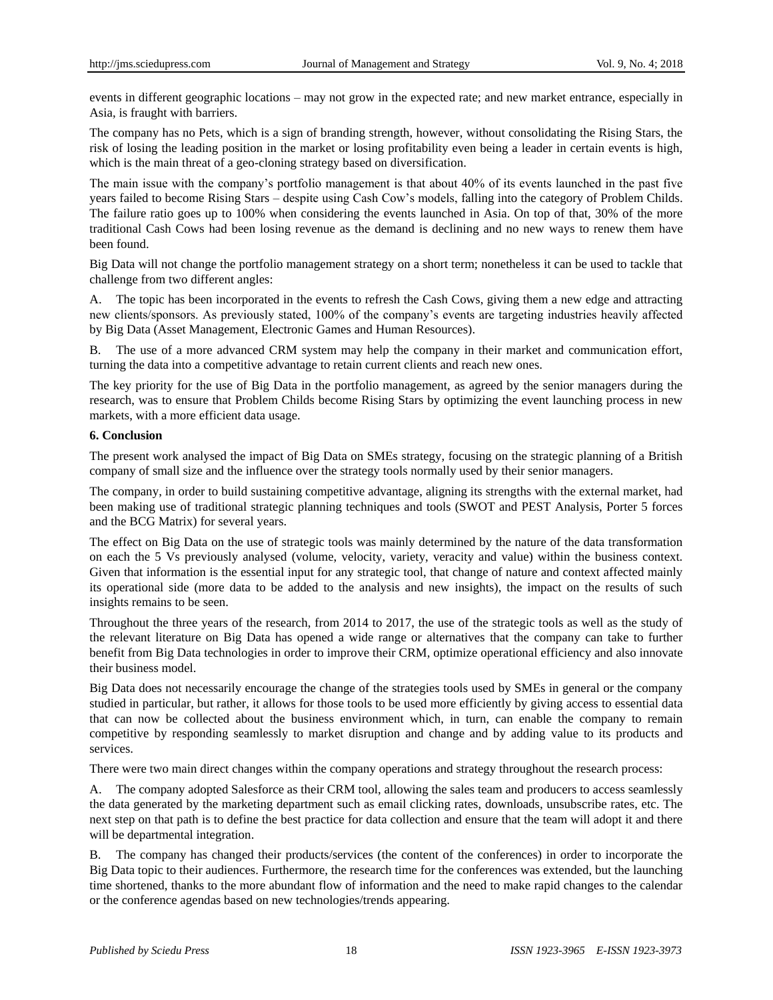events in different geographic locations – may not grow in the expected rate; and new market entrance, especially in Asia, is fraught with barriers.

The company has no Pets, which is a sign of branding strength, however, without consolidating the Rising Stars, the risk of losing the leading position in the market or losing profitability even being a leader in certain events is high, which is the main threat of a geo-cloning strategy based on diversification.

The main issue with the company"s portfolio management is that about 40% of its events launched in the past five years failed to become Rising Stars – despite using Cash Cow"s models, falling into the category of Problem Childs. The failure ratio goes up to 100% when considering the events launched in Asia. On top of that, 30% of the more traditional Cash Cows had been losing revenue as the demand is declining and no new ways to renew them have been found.

Big Data will not change the portfolio management strategy on a short term; nonetheless it can be used to tackle that challenge from two different angles:

A. The topic has been incorporated in the events to refresh the Cash Cows, giving them a new edge and attracting new clients/sponsors. As previously stated, 100% of the company"s events are targeting industries heavily affected by Big Data (Asset Management, Electronic Games and Human Resources).

B. The use of a more advanced CRM system may help the company in their market and communication effort, turning the data into a competitive advantage to retain current clients and reach new ones.

The key priority for the use of Big Data in the portfolio management, as agreed by the senior managers during the research, was to ensure that Problem Childs become Rising Stars by optimizing the event launching process in new markets, with a more efficient data usage.

## **6. Conclusion**

The present work analysed the impact of Big Data on SMEs strategy, focusing on the strategic planning of a British company of small size and the influence over the strategy tools normally used by their senior managers.

The company, in order to build sustaining competitive advantage, aligning its strengths with the external market, had been making use of traditional strategic planning techniques and tools (SWOT and PEST Analysis, Porter 5 forces and the BCG Matrix) for several years.

The effect on Big Data on the use of strategic tools was mainly determined by the nature of the data transformation on each the 5 Vs previously analysed (volume, velocity, variety, veracity and value) within the business context. Given that information is the essential input for any strategic tool, that change of nature and context affected mainly its operational side (more data to be added to the analysis and new insights), the impact on the results of such insights remains to be seen.

Throughout the three years of the research, from 2014 to 2017, the use of the strategic tools as well as the study of the relevant literature on Big Data has opened a wide range or alternatives that the company can take to further benefit from Big Data technologies in order to improve their CRM, optimize operational efficiency and also innovate their business model.

Big Data does not necessarily encourage the change of the strategies tools used by SMEs in general or the company studied in particular, but rather, it allows for those tools to be used more efficiently by giving access to essential data that can now be collected about the business environment which, in turn, can enable the company to remain competitive by responding seamlessly to market disruption and change and by adding value to its products and services.

There were two main direct changes within the company operations and strategy throughout the research process:

A. The company adopted Salesforce as their CRM tool, allowing the sales team and producers to access seamlessly the data generated by the marketing department such as email clicking rates, downloads, unsubscribe rates, etc. The next step on that path is to define the best practice for data collection and ensure that the team will adopt it and there will be departmental integration.

B. The company has changed their products/services (the content of the conferences) in order to incorporate the Big Data topic to their audiences. Furthermore, the research time for the conferences was extended, but the launching time shortened, thanks to the more abundant flow of information and the need to make rapid changes to the calendar or the conference agendas based on new technologies/trends appearing.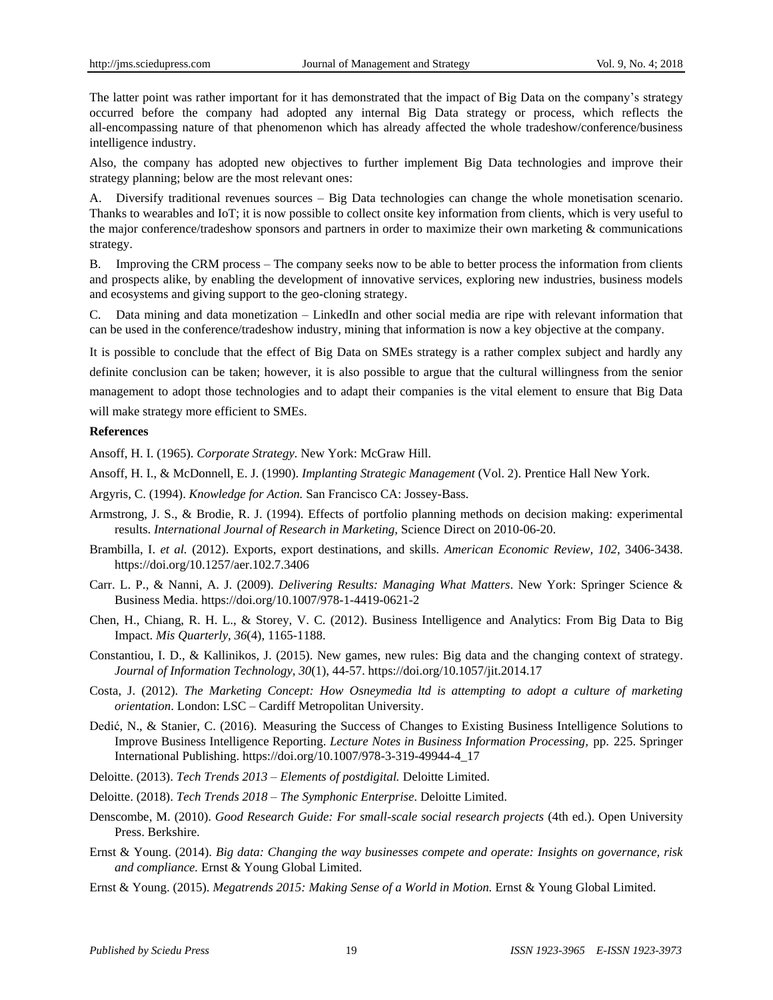The latter point was rather important for it has demonstrated that the impact of Big Data on the company"s strategy occurred before the company had adopted any internal Big Data strategy or process, which reflects the all-encompassing nature of that phenomenon which has already affected the whole tradeshow/conference/business intelligence industry.

Also, the company has adopted new objectives to further implement Big Data technologies and improve their strategy planning; below are the most relevant ones:

A. Diversify traditional revenues sources – Big Data technologies can change the whole monetisation scenario. Thanks to wearables and IoT; it is now possible to collect onsite key information from clients, which is very useful to the major conference/tradeshow sponsors and partners in order to maximize their own marketing & communications strategy.

B. Improving the CRM process – The company seeks now to be able to better process the information from clients and prospects alike, by enabling the development of innovative services, exploring new industries, business models and ecosystems and giving support to the geo-cloning strategy.

C. Data mining and data monetization – LinkedIn and other social media are ripe with relevant information that can be used in the conference/tradeshow industry, mining that information is now a key objective at the company.

It is possible to conclude that the effect of Big Data on SMEs strategy is a rather complex subject and hardly any definite conclusion can be taken; however, it is also possible to argue that the cultural willingness from the senior management to adopt those technologies and to adapt their companies is the vital element to ensure that Big Data will make strategy more efficient to SMEs.

## **References**

Ansoff, H. I. (1965). *Corporate Strategy.* New York: McGraw Hill.

Ansoff, H. I., & McDonnell, E. J. (1990). *Implanting Strategic Management* (Vol. 2). Prentice Hall New York.

Argyris, C. (1994). *Knowledge for Action.* San Francisco CA: Jossey-Bass.

- Armstrong, J. S., & Brodie, R. J. (1994). Effects of portfolio planning methods on decision making: experimental results. *International Journal of Research in Marketing,* Science Direct on 2010-06-20.
- Brambilla, I. *et al.* (2012). Exports, export destinations, and skills. *American Economic Review, 102,* 3406-3438. https://doi.org/10.1257/aer.102.7.3406
- Carr. L. P., & Nanni, A. J. (2009). *Delivering Results: Managing What Matters*. New York: Springer Science & Business Media. https://doi.org/10.1007/978-1-4419-0621-2
- Chen, H., Chiang, R. H. L., & Storey, V. C. (2012). Business Intelligence and Analytics: From Big Data to Big Impact. *Mis Quarterly, 36*(4), 1165-1188.
- Constantiou, I. D., & Kallinikos, J. (2015). New games, new rules: Big data and the changing context of strategy. *Journal of Information Technology, 30*(1), 44-57. https://doi.org/10.1057/jit.2014.17
- Costa, J. (2012). *The Marketing Concept: How Osneymedia ltd is attempting to adopt a culture of marketing orientation*. London: LSC – Cardiff Metropolitan University.
- Dedić, N., & Stanier, C. (2016). Measuring the Success of Changes to Existing Business Intelligence Solutions to Improve Business Intelligence Reporting. *Lecture Notes in Business Information Processing,* pp. 225. Springer International Publishing. https://doi.org/10.1007/978-3-319-49944-4\_17
- Deloitte. (2013). *Tech Trends 2013 – Elements of postdigital.* Deloitte Limited.
- Deloitte. (2018). *Tech Trends 2018 – The Symphonic Enterprise*. Deloitte Limited.
- Denscombe, M. (2010). *Good Research Guide: For small-scale social research projects* (4th ed.). Open University Press. Berkshire.
- Ernst & Young. (2014). *Big data: Changing the way businesses compete and operate: Insights on governance, risk and compliance.* Ernst & Young Global Limited.
- Ernst & Young. (2015). *Megatrends 2015: Making Sense of a World in Motion.* Ernst & Young Global Limited.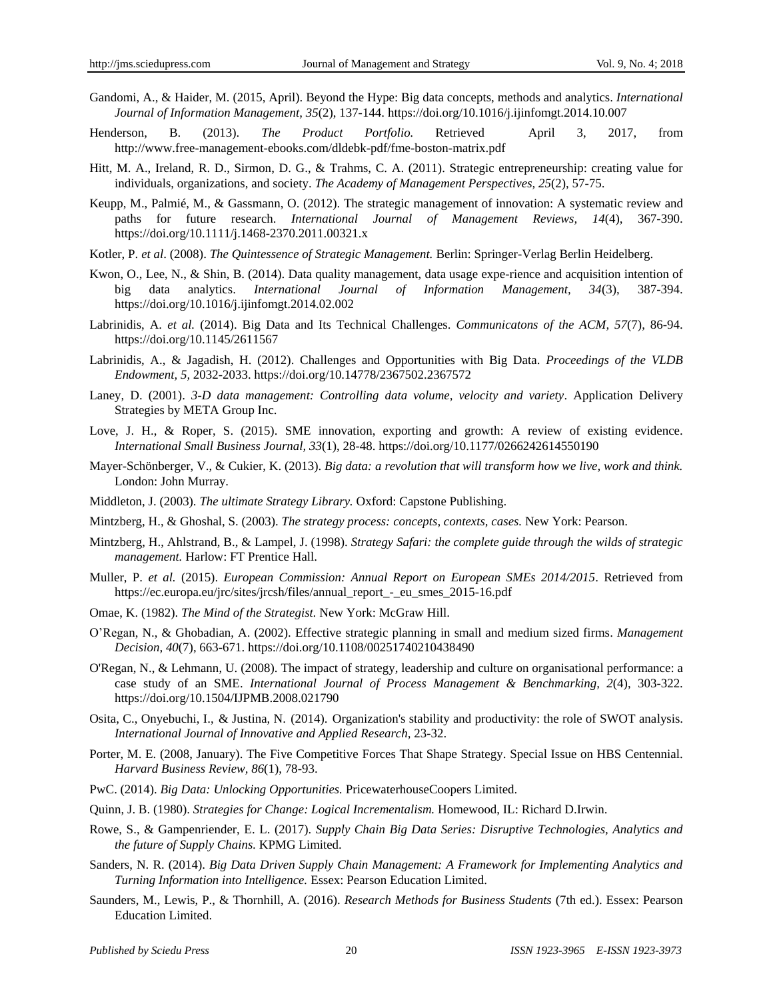- Gandomi, A., & Haider, M. (2015, April). Beyond the Hype: Big data concepts, methods and analytics. *International Journal of Information Management, 35*(2), 137-144. https://doi.org/10.1016/j.ijinfomgt.2014.10.007
- Henderson, B. (2013). *The Product Portfolio.* Retrieved April 3, 2017, from http://www.free-management-ebooks.com/dldebk-pdf/fme-boston-matrix.pdf
- Hitt, M. A., Ireland, R. D., Sirmon, D. G., & Trahms, C. A. (2011). Strategic entrepreneurship: creating value for individuals, organizations, and society. *The Academy of Management Perspectives, 25*(2), 57-75.
- Keupp, M., Palmié, M., & Gassmann, O. (2012). The strategic management of innovation: A systematic review and paths for future research. *International Journal of Management Reviews, 14*(4), 367-390. https://doi.org/10.1111/j.1468-2370.2011.00321.x
- Kotler, P. *et al*. (2008). *The Quintessence of Strategic Management.* Berlin: Springer-Verlag Berlin Heidelberg.
- Kwon, O., Lee, N., & Shin, B. (2014). Data quality management, data usage expe-rience and acquisition intention of big data analytics. *International Journal of Information Management, 34*(3), 387-394. https://doi.org/10.1016/j.ijinfomgt.2014.02.002
- Labrinidis, A. *et al.* (2014). Big Data and Its Technical Challenges. *Communicatons of the ACM, 57*(7), 86-94. https://doi.org/10.1145/2611567
- Labrinidis, A., & Jagadish, H. (2012). Challenges and Opportunities with Big Data. *Proceedings of the VLDB Endowment, 5,* 2032-2033. https://doi.org/10.14778/2367502.2367572
- Laney, D. (2001). *3-D data management: Controlling data volume, velocity and variety*. Application Delivery Strategies by META Group Inc.
- Love, J. H., & Roper, S. (2015). SME innovation, exporting and growth: A review of existing evidence. *International Small Business Journal, 33*(1), 28-48. https://doi.org/10.1177/0266242614550190
- Mayer-Schönberger, V., & Cukier, K. (2013). *Big data: a revolution that will transform how we live, work and think.*  London: John Murray.
- Middleton, J. (2003). *The ultimate Strategy Library.* Oxford: Capstone Publishing.
- Mintzberg, H., & Ghoshal, S. (2003). *The strategy process: concepts, contexts, cases.* New York: Pearson.
- Mintzberg, H., Ahlstrand, B., & Lampel, J. (1998). *Strategy Safari: the complete guide through the wilds of strategic management.* Harlow: FT Prentice Hall.
- Muller, P. *et al.* (2015). *European Commission: Annual Report on European SMEs 2014/2015*. Retrieved from https://ec.europa.eu/jrc/sites/jrcsh/files/annual\_report\_-\_eu\_smes\_2015-16.pdf
- Omae, K. (1982). *The Mind of the Strategist.* New York: McGraw Hill.
- O"Regan, N., & Ghobadian, A. (2002). Effective strategic planning in small and medium sized firms. *Management Decision, 40*(7), 663-671. https://doi.org/10.1108/00251740210438490
- O'Regan, N., & Lehmann, U. (2008). The impact of strategy, leadership and culture on organisational performance: a case study of an SME. *International Journal of Process Management & Benchmarking, 2*(4), 303-322. https://doi.org/10.1504/IJPMB.2008.021790
- Osita, C., Onyebuchi, I., & Justina, N. (2014). Organization's stability and productivity: the role of SWOT analysis. *International Journal of Innovative and Applied Research,* 23-32.
- Porter, M. E. (2008, January). The Five Competitive Forces That Shape Strategy. Special Issue on HBS Centennial. *Harvard Business Review, 86*(1), 78-93.
- PwC. (2014). *Big Data: Unlocking Opportunities.* PricewaterhouseCoopers Limited.
- Quinn, J. B. (1980). *Strategies for Change: Logical Incrementalism.* Homewood, IL: Richard D.Irwin.
- Rowe, S., & Gampenriender, E. L. (2017). *Supply Chain Big Data Series: Disruptive Technologies, Analytics and the future of Supply Chains.* KPMG Limited.
- Sanders, N. R. (2014). *Big Data Driven Supply Chain Management: A Framework for Implementing Analytics and Turning Information into Intelligence.* Essex: Pearson Education Limited.
- Saunders, M., Lewis, P., & Thornhill, A. (2016). *Research Methods for Business Students* (7th ed.). Essex: Pearson Education Limited.